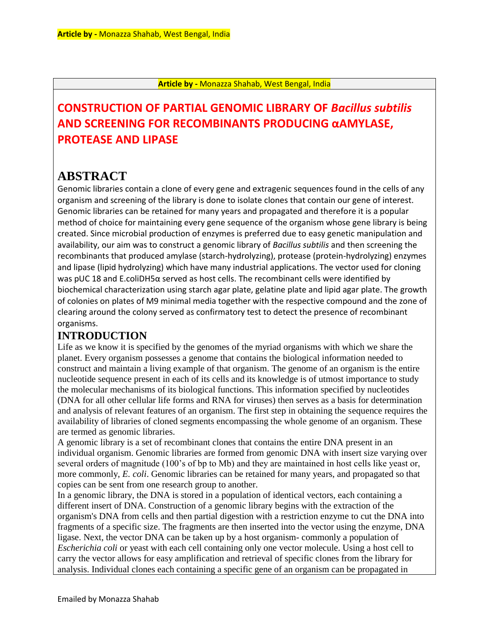#### **Article by -** Monazza Shahab, West Bengal, India

# **CONSTRUCTION OF PARTIAL GENOMIC LIBRARY OF** *Bacillus subtilis*  **AND SCREENING FOR RECOMBINANTS PRODUCING αAMYLASE, PROTEASE AND LIPASE**

# **ABSTRACT**

Genomic libraries contain a clone of every gene and extragenic sequences found in the cells of any organism and screening of the library is done to isolate clones that contain our gene of interest. Genomic libraries can be retained for many years and propagated and therefore it is a popular method of choice for maintaining every gene sequence of the organism whose gene library is being created. Since microbial production of enzymes is preferred due to easy genetic manipulation and availability, our aim was to construct a genomic library of *Bacillus subtilis* and then screening the recombinants that produced amylase (starch-hydrolyzing), protease (protein-hydrolyzing) enzymes and lipase (lipid hydrolyzing) which have many industrial applications. The vector used for cloning was pUC 18 and E.coliDH5α served as host cells. The recombinant cells were identified by biochemical characterization using starch agar plate, gelatine plate and lipid agar plate. The growth of colonies on plates of M9 minimal media together with the respective compound and the zone of clearing around the colony served as confirmatory test to detect the presence of recombinant organisms.

# **INTRODUCTION**

Life as we know it is specified by the genomes of the myriad organisms with which we share the planet. Every organism possesses a genome that contains the biological information needed to construct and maintain a living example of that organism. The genome of an organism is the entire nucleotide sequence present in each of its cells and its knowledge is of utmost importance to study the molecular mechanisms of its biological functions. This information specified by nucleotides (DNA for all other cellular life forms and RNA for viruses) then serves as a basis for determination and analysis of relevant features of an organism. The first step in obtaining the sequence requires the availability of libraries of cloned segments encompassing the whole genome of an organism. These are termed as genomic libraries.

A genomic library is a set of recombinant clones that contains the entire DNA present in an individual organism. Genomic libraries are formed from genomic DNA with insert size varying over several orders of magnitude (100's of bp to Mb) and they are maintained in host cells like yeast or, more commonly, *E. coli*. Genomic libraries can be retained for many years, and propagated so that copies can be sent from one research group to another.

In a genomic library, the DNA is stored in a population of identical vectors, each containing a different insert of DNA. Construction of a genomic library begins with the extraction of the organism's DNA from cells and then partial digestion with a restriction enzyme to cut the DNA into fragments of a specific size. The fragments are then inserted into the vector using the enzyme, DNA ligase. Next, the vector DNA can be taken up by a host organism- commonly a population of *Escherichia coli* or yeast with each cell containing only one vector molecule. Using a host cell to carry the vector allows for easy amplification and retrieval of specific clones from the library for analysis. Individual clones each containing a specific gene of an organism can be propagated in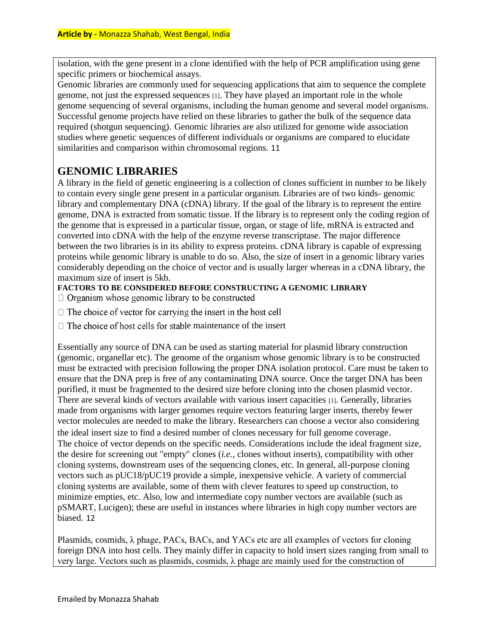isolation, with the gene present in a clone identified with the help of PCR amplification using gene specific primers or biochemical assays.

Genomic libraries are commonly used for sequencing applications that aim to sequence the complete genome, not just the expressed sequences [1]. They have played an important role in the whole genome sequencing of several organisms, including the human genome and several model organisms. Successful genome projects have relied on these libraries to gather the bulk of the sequence data required (shotgun sequencing). Genomic libraries are also utilized for genome wide association studies where genetic sequences of different individuals or organisms are compared to elucidate similarities and comparison within chromosomal regions. 11

# **GENOMIC LIBRARIES**

A library in the field of genetic engineering is a collection of clones sufficient in number to be likely to contain every single gene present in a particular organism. Libraries are of two kinds- genomic library and complementary DNA (cDNA) library. If the goal of the library is to represent the entire genome, DNA is extracted from somatic tissue. If the library is to represent only the coding region of the genome that is expressed in a particular tissue, organ, or stage of life, mRNA is extracted and converted into cDNA with the help of the enzyme reverse transcriptase. The major difference between the two libraries is in its ability to express proteins. cDNA library is capable of expressing proteins while genomic library is unable to do so. Also, the size of insert in a genomic library varies considerably depending on the choice of vector and is usually larger whereas in a cDNA library, the maximum size of insert is 5kb.

**FACTORS TO BE CONSIDERED BEFORE CONSTRUCTING A GENOMIC LIBRARY** 

 $\Box$  Organism whose genomic library to be constructed

- $\Box$  The choice of vector for carrying the insert in the host cell
- $\Box$  The choice of host cells for stable maintenance of the insert

Essentially any source of DNA can be used as starting material for plasmid library construction (genomic, organellar etc). The genome of the organism whose genomic library is to be constructed must be extracted with precision following the proper DNA isolation protocol. Care must be taken to ensure that the DNA prep is free of any contaminating DNA source. Once the target DNA has been purified, it must be fragmented to the desired size before cloning into the chosen plasmid vector. There are several kinds of vectors available with various insert capacities [1]. Generally, libraries made from organisms with larger genomes require vectors featuring larger inserts, thereby fewer vector molecules are needed to make the library. Researchers can choose a vector also considering the ideal insert size to find a desired number of clones necessary for full genome coverage. The choice of vector depends on the specific needs. Considerations include the ideal fragment size, the desire for screening out "empty" clones (*i.e.*, clones without inserts), compatibility with other cloning systems, downstream uses of the sequencing clones, etc. In general, all-purpose cloning vectors such as pUC18/pUC19 provide a simple, inexpensive vehicle. A variety of commercial cloning systems are available, some of them with clever features to speed up construction, to minimize empties, etc. Also, low and intermediate copy number vectors are available (such as pSMART, Lucigen); these are useful in instances where libraries in high copy number vectors are biased. 12

Plasmids, cosmids, λ phage, PACs, BACs, and YACs etc are all examples of vectors for cloning foreign DNA into host cells. They mainly differ in capacity to hold insert sizes ranging from small to very large. Vectors such as plasmids, cosmids, λ phage are mainly used for the construction of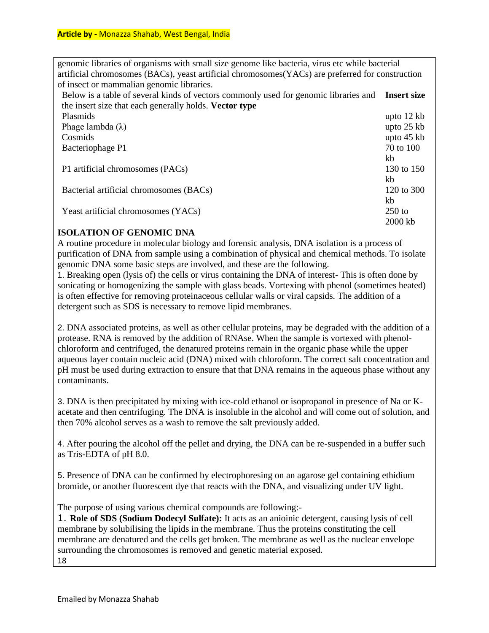genomic libraries of organisms with small size genome like bacteria, virus etc while bacterial artificial chromosomes (BACs), yeast artificial chromosomes(YACs) are preferred for construction of insect or mammalian genomic libraries.

Below is a table of several kinds of vectors commonly used for genomic libraries and **Insert size**  the insert size that each generally holds. **Vector type** 

| Plasmids                                | upto $12$ kb |
|-----------------------------------------|--------------|
| Phage lambda $(\lambda)$                | upto $25$ kb |
| Cosmids                                 | upto $45$ kb |
| Bacteriophage P1                        | 70 to 100    |
|                                         | kb           |
| P1 artificial chromosomes (PACs)        | 130 to 150   |
|                                         | kb           |
| Bacterial artificial chromosomes (BACs) | 120 to 300   |
|                                         | kb           |
| Yeast artificial chromosomes (YACs)     | $250$ to     |
|                                         | 2000 kb      |

### **ISOLATION OF GENOMIC DNA**

A routine procedure in molecular biology and forensic analysis, DNA isolation is a process of purification of DNA from sample using a combination of physical and chemical methods. To isolate genomic DNA some basic steps are involved, and these are the following.

1. Breaking open (lysis of) the cells or virus containing the DNA of interest- This is often done by sonicating or homogenizing the sample with glass beads. Vortexing with phenol (sometimes heated) is often effective for removing proteinaceous cellular walls or viral capsids. The addition of a detergent such as SDS is necessary to remove lipid membranes.

2. DNA associated proteins, as well as other cellular proteins, may be degraded with the addition of a protease. RNA is removed by the addition of RNAse. When the sample is vortexed with phenolchloroform and centrifuged, the denatured proteins remain in the organic phase while the upper aqueous layer contain nucleic acid (DNA) mixed with chloroform. The correct salt concentration and pH must be used during extraction to ensure that that DNA remains in the aqueous phase without any contaminants.

3. DNA is then precipitated by mixing with ice-cold ethanol or isopropanol in presence of Na or Kacetate and then centrifuging. The DNA is insoluble in the alcohol and will come out of solution, and then 70% alcohol serves as a wash to remove the salt previously added.

4. After pouring the alcohol off the pellet and drying, the DNA can be re-suspended in a buffer such as Tris-EDTA of pH 8.0.

5. Presence of DNA can be confirmed by electrophoresing on an agarose gel containing ethidium bromide, or another fluorescent dye that reacts with the DNA, and visualizing under UV light.

The purpose of using various chemical compounds are following:-

1. **Role of SDS (Sodium Dodecyl Sulfate):** It acts as an anioinic detergent, causing lysis of cell membrane by solubilising the lipids in the membrane. Thus the proteins constituting the cell membrane are denatured and the cells get broken. The membrane as well as the nuclear envelope surrounding the chromosomes is removed and genetic material exposed. 18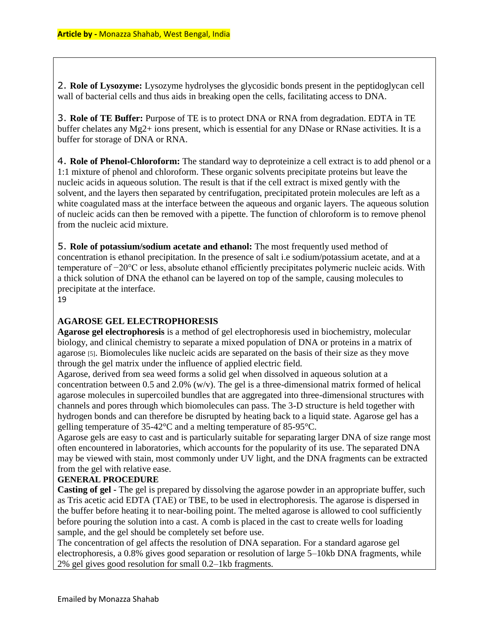2. **Role of Lysozyme:** Lysozyme hydrolyses the glycosidic bonds present in the peptidoglycan cell wall of bacterial cells and thus aids in breaking open the cells, facilitating access to DNA.

3. **Role of TE Buffer:** Purpose of TE is to protect DNA or RNA from degradation. EDTA in TE buffer chelates any Mg2+ ions present, which is essential for any DNase or RNase activities. It is a buffer for storage of DNA or RNA.

4. **Role of Phenol-Chloroform:** The standard way to deproteinize a cell extract is to add phenol or a 1:1 mixture of phenol and chloroform. These organic solvents precipitate proteins but leave the nucleic acids in aqueous solution. The result is that if the cell extract is mixed gently with the solvent, and the layers then separated by centrifugation, precipitated protein molecules are left as a white coagulated mass at the interface between the aqueous and organic layers. The aqueous solution of nucleic acids can then be removed with a pipette. The function of chloroform is to remove phenol from the nucleic acid mixture.

5. **Role of potassium/sodium acetate and ethanol:** The most frequently used method of concentration is ethanol precipitation. In the presence of salt i.e sodium/potassium acetate, and at a temperature of −20°C or less, absolute ethanol efficiently precipitates polymeric nucleic acids. With a thick solution of DNA the ethanol can be layered on top of the sample, causing molecules to precipitate at the interface.

19

### **AGAROSE GEL ELECTROPHORESIS**

**Agarose gel electrophoresis** is a method of gel electrophoresis used in biochemistry, molecular biology, and clinical chemistry to separate a mixed population of DNA or proteins in a matrix of agarose [5]. Biomolecules like nucleic acids are separated on the basis of their size as they move through the gel matrix under the influence of applied electric field.

Agarose, derived from sea weed forms a solid gel when dissolved in aqueous solution at a concentration between 0.5 and 2.0% (w/v). The gel is a three-dimensional matrix formed of helical agarose molecules in supercoiled bundles that are aggregated into three-dimensional structures with channels and pores through which biomolecules can pass. The 3-D structure is held together with hydrogen bonds and can therefore be disrupted by heating back to a liquid state. Agarose gel has a gelling temperature of 35-42°C and a melting temperature of 85-95°C.

Agarose gels are easy to cast and is particularly suitable for separating larger DNA of size range most often encountered in laboratories, which accounts for the popularity of its use. The separated DNA may be viewed with stain, most commonly under UV light, and the DNA fragments can be extracted from the gel with relative ease.

### **GENERAL PROCEDURE**

**Casting of gel -** The gel is prepared by dissolving the agarose powder in an appropriate buffer, such as Tris acetic acid EDTA (TAE) or TBE, to be used in electrophoresis. The agarose is dispersed in the buffer before heating it to near-boiling point. The melted agarose is allowed to cool sufficiently before pouring the solution into a cast. A comb is placed in the cast to create wells for loading sample, and the gel should be completely set before use.

The concentration of gel affects the resolution of DNA separation. For a standard agarose gel electrophoresis, a 0.8% gives good separation or resolution of large 5–10kb DNA fragments, while 2% gel gives good resolution for small 0.2–1kb fragments.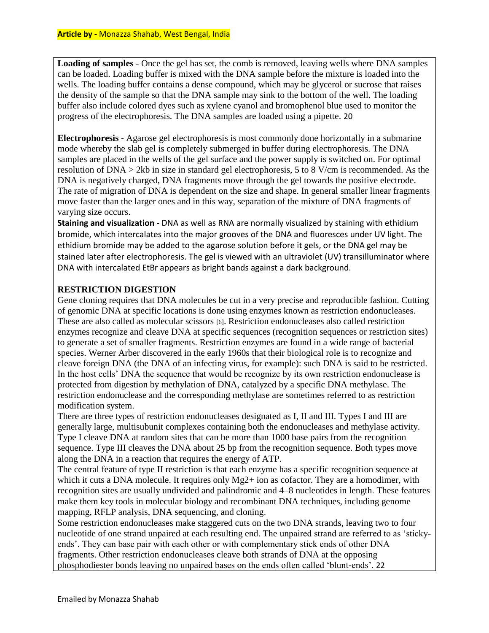**Loading of samples** - Once the gel has set, the comb is removed, leaving wells where DNA samples can be loaded. Loading buffer is mixed with the DNA sample before the mixture is loaded into the wells. The loading buffer contains a dense compound, which may be glycerol or sucrose that raises the density of the sample so that the DNA sample may sink to the bottom of the well. The loading buffer also include colored dyes such as xylene cyanol and bromophenol blue used to monitor the progress of the electrophoresis. The DNA samples are loaded using a pipette. 20

**Electrophoresis -** Agarose gel electrophoresis is most commonly done horizontally in a submarine mode whereby the slab gel is completely submerged in buffer during electrophoresis. The DNA samples are placed in the wells of the gel surface and the power supply is switched on. For optimal resolution of DNA > 2kb in size in standard gel electrophoresis, 5 to 8 V/cm is recommended. As the DNA is negatively charged, DNA fragments move through the gel towards the positive electrode. The rate of migration of DNA is dependent on the size and shape. In general smaller linear fragments move faster than the larger ones and in this way, separation of the mixture of DNA fragments of varying size occurs.

**Staining and visualization -** DNA as well as RNA are normally visualized by staining with ethidium bromide, which intercalates into the major grooves of the DNA and fluoresces under UV light. The ethidium bromide may be added to the agarose solution before it gels, or the DNA gel may be stained later after electrophoresis. The gel is viewed with an ultraviolet (UV) transilluminator where DNA with intercalated EtBr appears as bright bands against a dark background.

### **RESTRICTION DIGESTION**

Gene cloning requires that DNA molecules be cut in a very precise and reproducible fashion. Cutting of genomic DNA at specific locations is done using enzymes known as restriction endonucleases. These are also called as molecular scissors [6]. Restriction endonucleases also called restriction enzymes recognize and cleave DNA at specific sequences (recognition sequences or restriction sites) to generate a set of smaller fragments. Restriction enzymes are found in a wide range of bacterial species. Werner Arber discovered in the early 1960s that their biological role is to recognize and cleave foreign DNA (the DNA of an infecting virus, for example): such DNA is said to be restricted. In the host cells' DNA the sequence that would be recognize by its own restriction endonuclease is protected from digestion by methylation of DNA, catalyzed by a specific DNA methylase. The restriction endonuclease and the corresponding methylase are sometimes referred to as restriction modification system.

There are three types of restriction endonucleases designated as I, II and III. Types I and III are generally large, multisubunit complexes containing both the endonucleases and methylase activity. Type I cleave DNA at random sites that can be more than 1000 base pairs from the recognition sequence. Type III cleaves the DNA about 25 bp from the recognition sequence. Both types move along the DNA in a reaction that requires the energy of ATP.

The central feature of type II restriction is that each enzyme has a specific recognition sequence at which it cuts a DNA molecule. It requires only Mg2+ ion as cofactor. They are a homodimer, with recognition sites are usually undivided and palindromic and 4–8 nucleotides in length. These features make them key tools in molecular biology and recombinant DNA techniques, including genome mapping, RFLP analysis, DNA sequencing, and cloning.

Some restriction endonucleases make staggered cuts on the two DNA strands, leaving two to four nucleotide of one strand unpaired at each resulting end. The unpaired strand are referred to as 'stickyends'. They can base pair with each other or with complementary stick ends of other DNA fragments. Other restriction endonucleases cleave both strands of DNA at the opposing phosphodiester bonds leaving no unpaired bases on the ends often called 'blunt-ends'. 22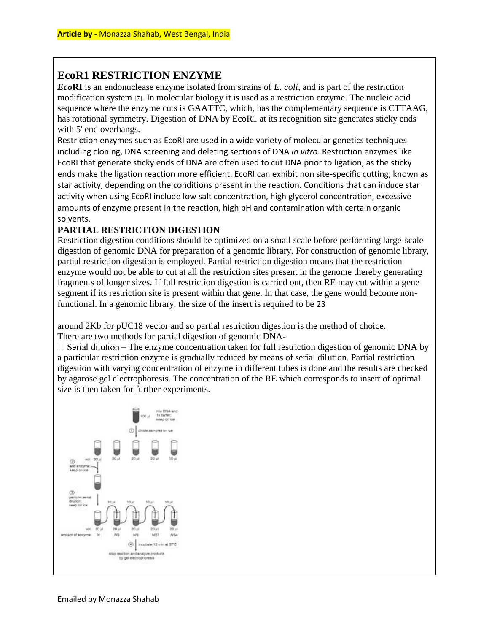# **EcoR1 RESTRICTION ENZYME**

*Eco***RI** is an endonuclease enzyme isolated from strains of *E. coli*, and is part of the restriction modification system [7]. In molecular biology it is used as a restriction enzyme. The nucleic acid sequence where the enzyme cuts is GAATTC, which, has the complementary sequence is CTTAAG, has rotational symmetry. Digestion of DNA by EcoR1 at its recognition site generates sticky ends with 5' end overhangs.

Restriction enzymes such as EcoRI are used in a wide variety of molecular genetics techniques including cloning, DNA screening and deleting sections of DNA *in vitro*. Restriction enzymes like EcoRI that generate sticky ends of DNA are often used to cut DNA prior to ligation, as the sticky ends make the ligation reaction more efficient. EcoRI can exhibit non site-specific cutting, known as star activity, depending on the conditions present in the reaction. Conditions that can induce star activity when using EcoRI include low salt concentration, high glycerol concentration, excessive amounts of enzyme present in the reaction, high pH and contamination with certain organic solvents.

### **PARTIAL RESTRICTION DIGESTION**

Restriction digestion conditions should be optimized on a small scale before performing large-scale digestion of genomic DNA for preparation of a genomic library. For construction of genomic library, partial restriction digestion is employed. Partial restriction digestion means that the restriction enzyme would not be able to cut at all the restriction sites present in the genome thereby generating fragments of longer sizes. If full restriction digestion is carried out, then RE may cut within a gene segment if its restriction site is present within that gene. In that case, the gene would become nonfunctional. In a genomic library, the size of the insert is required to be 23

around 2Kb for pUC18 vector and so partial restriction digestion is the method of choice. There are two methods for partial digestion of genomic DNA-

 $\Box$  Serial dilution – The enzyme concentration taken for full restriction digestion of genomic DNA by a particular restriction enzyme is gradually reduced by means of serial dilution. Partial restriction digestion with varying concentration of enzyme in different tubes is done and the results are checked by agarose gel electrophoresis. The concentration of the RE which corresponds to insert of optimal size is then taken for further experiments.

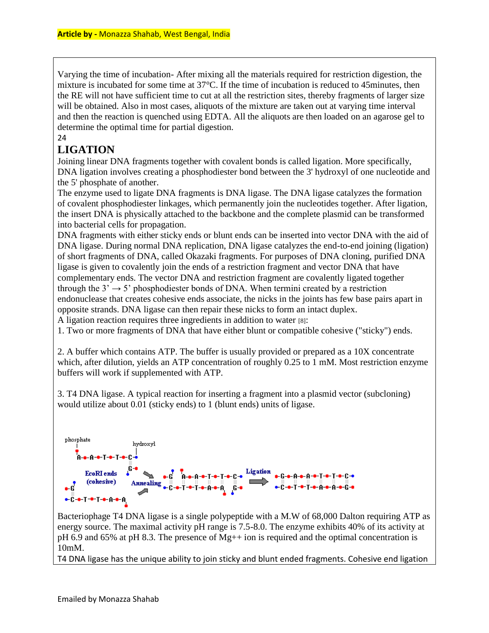Varying the time of incubation- After mixing all the materials required for restriction digestion, the mixture is incubated for some time at 37°C. If the time of incubation is reduced to 45minutes, then the RE will not have sufficient time to cut at all the restriction sites, thereby fragments of larger size will be obtained. Also in most cases, aliquots of the mixture are taken out at varying time interval and then the reaction is quenched using EDTA. All the aliquots are then loaded on an agarose gel to determine the optimal time for partial digestion.

#### 24

## **LIGATION**

Joining linear DNA fragments together with covalent bonds is called ligation. More specifically, DNA ligation involves creating a phosphodiester bond between the 3' hydroxyl of one nucleotide and the 5' phosphate of another.

The enzyme used to ligate DNA fragments is DNA ligase. The DNA ligase catalyzes the formation of covalent phosphodiester linkages, which permanently join the nucleotides together. After ligation, the insert DNA is physically attached to the backbone and the complete plasmid can be transformed into bacterial cells for propagation.

DNA fragments with either sticky ends or blunt ends can be inserted into vector DNA with the aid of DNA ligase. During normal DNA replication, DNA ligase catalyzes the end-to-end joining (ligation) of short fragments of DNA, called Okazaki fragments. For purposes of DNA cloning, purified DNA ligase is given to covalently join the ends of a restriction fragment and vector DNA that have complementary ends. The vector DNA and restriction fragment are covalently ligated together through the  $3' \rightarrow 5'$  phosphodiester bonds of DNA. When termini created by a restriction endonuclease that creates cohesive ends associate, the nicks in the joints has few base pairs apart in opposite strands. DNA ligase can then repair these nicks to form an intact duplex.

A ligation reaction requires three ingredients in addition to water [8]:

1. Two or more fragments of DNA that have either blunt or compatible cohesive ("sticky") ends.

2. A buffer which contains ATP. The buffer is usually provided or prepared as a 10X concentrate which, after dilution, yields an ATP concentration of roughly 0.25 to 1 mM. Most restriction enzyme buffers will work if supplemented with ATP.

3. T4 DNA ligase. A typical reaction for inserting a fragment into a plasmid vector (subcloning) would utilize about 0.01 (sticky ends) to 1 (blunt ends) units of ligase.



Bacteriophage T4 DNA ligase is a single polypeptide with a M.W of 68,000 Dalton requiring ATP as energy source. The maximal activity pH range is 7.5-8.0. The enzyme exhibits 40% of its activity at pH 6.9 and 65% at pH 8.3. The presence of Mg++ ion is required and the optimal concentration is 10mM.

T4 DNA ligase has the unique ability to join sticky and blunt ended fragments. Cohesive end ligation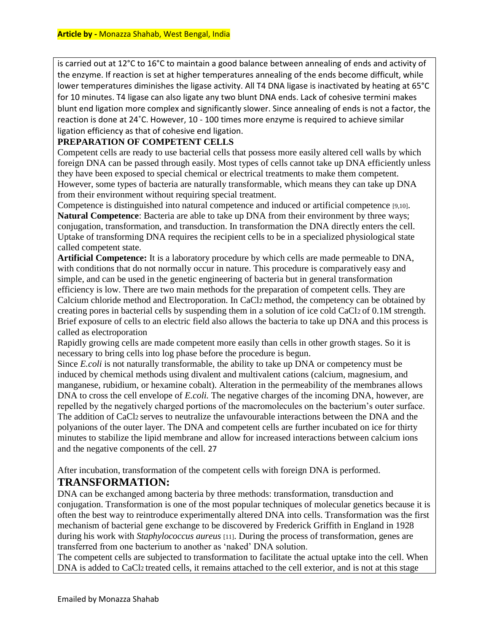is carried out at 12°C to 16°C to maintain a good balance between annealing of ends and activity of the enzyme. If reaction is set at higher temperatures annealing of the ends become difficult, while lower temperatures diminishes the ligase activity. All T4 DNA ligase is inactivated by heating at 65°C for 10 minutes. T4 ligase can also ligate any two blunt DNA ends. Lack of cohesive termini makes blunt end ligation more complex and significantly slower. Since annealing of ends is not a factor, the reaction is done at 24˚C. However, 10 - 100 times more enzyme is required to achieve similar ligation efficiency as that of cohesive end ligation.

### **PREPARATION OF COMPETENT CELLS**

Competent cells are ready to use bacterial cells that possess more easily altered cell walls by which foreign DNA can be passed through easily. Most types of cells cannot take up DNA efficiently unless they have been exposed to special chemical or electrical treatments to make them competent. However, some types of bacteria are naturally transformable, which means they can take up DNA from their environment without requiring special treatment.

Competence is distinguished into natural competence and induced or artificial competence [9,10]. **Natural Competence**: Bacteria are able to take up DNA from their environment by three ways; conjugation, transformation, and transduction. In transformation the DNA directly enters the cell. Uptake of transforming DNA requires the recipient cells to be in a specialized physiological state called competent state.

**Artificial Competence:** It is a laboratory procedure by which cells are made permeable to DNA, with conditions that do not normally occur in nature. This procedure is comparatively easy and simple, and can be used in the genetic engineering of bacteria but in general transformation efficiency is low. There are two main methods for the preparation of competent cells. They are Calcium chloride method and Electroporation. In CaCl2 method, the competency can be obtained by creating pores in bacterial cells by suspending them in a solution of ice cold CaCl2 of 0.1M strength. Brief exposure of cells to an electric field also allows the bacteria to take up DNA and this process is called as electroporation

Rapidly growing cells are made competent more easily than cells in other growth stages. So it is necessary to bring cells into log phase before the procedure is begun.

Since *E.coli* is not naturally transformable, the ability to take up DNA or competency must be induced by chemical methods using divalent and multivalent cations (calcium, magnesium, and manganese, rubidium, or hexamine cobalt). Alteration in the permeability of the membranes allows DNA to cross the cell envelope of *E.coli*. The negative charges of the incoming DNA, however, are repelled by the negatively charged portions of the macromolecules on the bacterium's outer surface. The addition of CaCl2 serves to neutralize the unfavourable interactions between the DNA and the polyanions of the outer layer. The DNA and competent cells are further incubated on ice for thirty minutes to stabilize the lipid membrane and allow for increased interactions between calcium ions and the negative components of the cell. 27

After incubation, transformation of the competent cells with foreign DNA is performed.

### **TRANSFORMATION:**

DNA can be exchanged among bacteria by three methods: transformation, transduction and conjugation. Transformation is one of the most popular techniques of molecular genetics because it is often the best way to reintroduce experimentally altered DNA into cells. Transformation was the first mechanism of bacterial gene exchange to be discovered by Frederick Griffith in England in 1928 during his work with *Staphylococcus aureus* [11]. During the process of transformation, genes are transferred from one bacterium to another as 'naked' DNA solution.

The competent cells are subjected to transformation to facilitate the actual uptake into the cell. When DNA is added to CaCl<sub>2</sub> treated cells, it remains attached to the cell exterior, and is not at this stage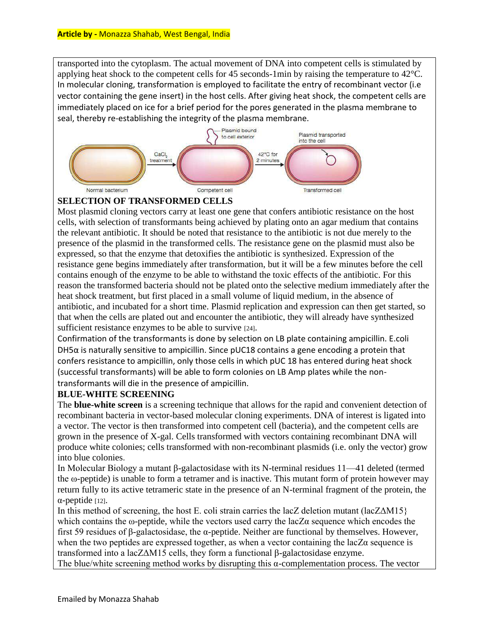transported into the cytoplasm. The actual movement of DNA into competent cells is stimulated by applying heat shock to the competent cells for 45 seconds-1min by raising the temperature to 42°C. In molecular cloning, transformation is employed to facilitate the entry of recombinant vector (i.e vector containing the gene insert) in the host cells. After giving heat shock, the competent cells are immediately placed on ice for a brief period for the pores generated in the plasma membrane to seal, thereby re-establishing the integrity of the plasma membrane.



#### **SELECTION OF TRANSFORMED CELLS**

Most plasmid cloning vectors carry at least one gene that confers antibiotic resistance on the host cells, with selection of transformants being achieved by plating onto an agar medium that contains the relevant antibiotic. It should be noted that resistance to the antibiotic is not due merely to the presence of the plasmid in the transformed cells. The resistance gene on the plasmid must also be expressed, so that the enzyme that detoxifies the antibiotic is synthesized. Expression of the resistance gene begins immediately after transformation, but it will be a few minutes before the cell contains enough of the enzyme to be able to withstand the toxic effects of the antibiotic. For this reason the transformed bacteria should not be plated onto the selective medium immediately after the heat shock treatment, but first placed in a small volume of liquid medium, in the absence of antibiotic, and incubated for a short time. Plasmid replication and expression can then get started, so that when the cells are plated out and encounter the antibiotic, they will already have synthesized sufficient resistance enzymes to be able to survive [24].

Confirmation of the transformants is done by selection on LB plate containing ampicillin. E.coli DH5 $α$  is naturally sensitive to ampicillin. Since pUC18 contains a gene encoding a protein that confers resistance to ampicillin, only those cells in which pUC 18 has entered during heat shock (successful transformants) will be able to form colonies on LB Amp plates while the nontransformants will die in the presence of ampicillin.

### **BLUE-WHITE SCREENING**

The **blue-white screen** is a screening technique that allows for the rapid and convenient detection of recombinant bacteria in vector-based molecular cloning experiments. DNA of interest is ligated into a vector. The vector is then transformed into competent cell (bacteria), and the competent cells are grown in the presence of X-gal. Cells transformed with vectors containing recombinant DNA will produce white colonies; cells transformed with non-recombinant plasmids (i.e. only the vector) grow into blue colonies.

In Molecular Biology a mutant β-galactosidase with its N-terminal residues 11—41 deleted (termed the ω-peptide) is unable to form a tetramer and is inactive. This mutant form of protein however may return fully to its active tetrameric state in the presence of an N-terminal fragment of the protein, the  $α$ -peptide  $[12]$ .

In this method of screening, the host E. coli strain carries the lacZ deletion mutant (lac $Z\Delta M15$ ) which contains the  $\omega$ -peptide, while the vectors used carry the lacZ $\alpha$  sequence which encodes the first 59 residues of β-galactosidase, the α-peptide. Neither are functional by themselves. However, when the two peptides are expressed together, as when a vector containing the  $lacZ\alpha$  sequence is transformed into a lacZΔM15 cells, they form a functional β-galactosidase enzyme.

The blue/white screening method works by disrupting this  $\alpha$ -complementation process. The vector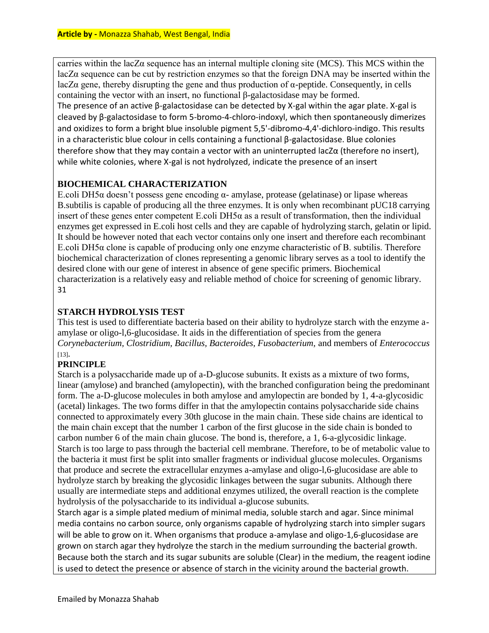carries within the lacZα sequence has an internal multiple cloning site (MCS). This MCS within the lacZα sequence can be cut by restriction enzymes so that the foreign DNA may be inserted within the lacZα gene, thereby disrupting the gene and thus production of α-peptide. Consequently, in cells containing the vector with an insert, no functional β-galactosidase may be formed. The presence of an active β-galactosidase can be detected by X-gal within the agar plate. X-gal is cleaved by β-galactosidase to form 5-bromo-4-chloro-indoxyl, which then spontaneously dimerizes and oxidizes to form a bright blue insoluble pigment 5,5'-dibromo-4,4'-dichloro-indigo. This results in a characteristic blue colour in cells containing a functional β-galactosidase. Blue colonies therefore show that they may contain a vector with an uninterrupted lacZα (therefore no insert), while white colonies, where X-gal is not hydrolyzed, indicate the presence of an insert

### **BIOCHEMICAL CHARACTERIZATION**

E.coli DH5 $\alpha$  doesn't possess gene encoding  $\alpha$ - amylase, protease (gelatinase) or lipase whereas B.subtilis is capable of producing all the three enzymes. It is only when recombinant pUC18 carrying insert of these genes enter competent E.coli DH5 $\alpha$  as a result of transformation, then the individual enzymes get expressed in E.coli host cells and they are capable of hydrolyzing starch, gelatin or lipid. It should be however noted that each vector contains only one insert and therefore each recombinant E.coli DH5 $\alpha$  clone is capable of producing only one enzyme characteristic of B. subtilis. Therefore biochemical characterization of clones representing a genomic library serves as a tool to identify the desired clone with our gene of interest in absence of gene specific primers. Biochemical characterization is a relatively easy and reliable method of choice for screening of genomic library. 31

### **STARCH HYDROLYSIS TEST**

This test is used to differentiate bacteria based on their ability to hydrolyze starch with the enzyme aamylase or oligo-l,6-glucosidase. It aids in the differentiation of species from the genera *Corynebacterium, Clostridium, Bacillus, Bacteroides, Fusobacterium,* and members of *Enterococcus*  [13]*.* 

### **PRINCIPLE**

Starch is a polysaccharide made up of a-D-glucose subunits. It exists as a mixture of two forms, linear (amylose) and branched (amylopectin), with the branched configuration being the predominant form. The a-D-glucose molecules in both amylose and amylopectin are bonded by 1, 4-a-glycosidic (acetal) linkages. The two forms differ in that the amylopectin contains polysaccharide side chains connected to approximately every 30th glucose in the main chain. These side chains are identical to the main chain except that the number 1 carbon of the first glucose in the side chain is bonded to carbon number 6 of the main chain glucose. The bond is, therefore, a 1, 6-a-glycosidic linkage. Starch is too large to pass through the bacterial cell membrane. Therefore, to be of metabolic value to the bacteria it must first be split into smaller fragments or individual glucose molecules. Organisms that produce and secrete the extracellular enzymes a-amylase and oligo-l,6-glucosidase are able to hydrolyze starch by breaking the glycosidic linkages between the sugar subunits. Although there usually are intermediate steps and additional enzymes utilized, the overall reaction is the complete hydrolysis of the polysaccharide to its individual a-glucose subunits.

Starch agar is a simple plated medium of minimal media, soluble starch and agar. Since minimal media contains no carbon source, only organisms capable of hydrolyzing starch into simpler sugars will be able to grow on it. When organisms that produce a-amylase and oligo-1,6-glucosidase are grown on starch agar they hydrolyze the starch in the medium surrounding the bacterial growth. Because both the starch and its sugar subunits are soluble (Clear) in the medium, the reagent iodine is used to detect the presence or absence of starch in the vicinity around the bacterial growth.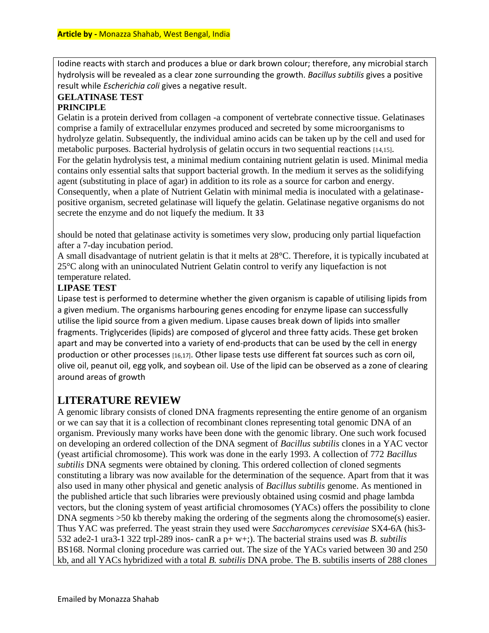Iodine reacts with starch and produces a blue or dark brown colour; therefore, any microbial starch hydrolysis will be revealed as a clear zone surrounding the growth. *Bacillus subtilis* gives a positive result while *Escherichia coli* gives a negative result.

#### **GELATINASE TEST PRINCIPLE**

Gelatin is a protein derived from collagen -a component of vertebrate connective tissue. Gelatinases comprise a family of extracellular enzymes produced and secreted by some microorganisms to hydrolyze gelatin. Subsequently, the individual amino acids can be taken up by the cell and used for metabolic purposes. Bacterial hydrolysis of gelatin occurs in two sequential reactions [14,15]. For the gelatin hydrolysis test, a minimal medium containing nutrient gelatin is used. Minimal media contains only essential salts that support bacterial growth. In the medium it serves as the solidifying agent (substituting in place of agar) in addition to its role as a source for carbon and energy. Consequently, when a plate of Nutrient Gelatin with minimal media is inoculated with a gelatinasepositive organism, secreted gelatinase will liquefy the gelatin. Gelatinase negative organisms do not secrete the enzyme and do not liquefy the medium. It 33

should be noted that gelatinase activity is sometimes very slow, producing only partial liquefaction after a 7-day incubation period.

A small disadvantage of nutrient gelatin is that it melts at 28°C. Therefore, it is typically incubated at 25°C along with an uninoculated Nutrient Gelatin control to verify any liquefaction is not temperature related.

### **LIPASE TEST**

Lipase test is performed to determine whether the given organism is capable of utilising lipids from a given medium. The organisms harbouring genes encoding for enzyme lipase can successfully utilise the lipid source from a given medium. Lipase causes break down of lipids into smaller fragments. Triglycerides (lipids) are composed of glycerol and three fatty acids. These get broken apart and may be converted into a variety of end-products that can be used by the cell in energy production or other processes [16,17]. Other lipase tests use different fat sources such as corn oil, olive oil, peanut oil, egg yolk, and soybean oil. Use of the lipid can be observed as a zone of clearing around areas of growth

# **LITERATURE REVIEW**

A genomic library consists of cloned DNA fragments representing the entire genome of an organism or we can say that it is a collection of recombinant clones representing total genomic DNA of an organism. Previously many works have been done with the genomic library. One such work focused on developing an ordered collection of the DNA segment of *Bacillus subtilis* clones in a YAC vector (yeast artificial chromosome). This work was done in the early 1993. A collection of 772 *Bacillus subtilis* DNA segments were obtained by cloning. This ordered collection of cloned segments constituting a library was now available for the determination of the sequence. Apart from that it was also used in many other physical and genetic analysis of *Bacillus subtilis* genome. As mentioned in the published article that such libraries were previously obtained using cosmid and phage lambda vectors, but the cloning system of yeast artificial chromosomes (YACs) offers the possibility to clone DNA segments  $>50$  kb thereby making the ordering of the segments along the chromosome(s) easier. Thus YAC was preferred. The yeast strain they used were *Saccharomyces cerevisiae* SX4-6A (his3- 532 ade2-1 ura3-1 322 trpl-289 inos- canR a p+ w+;). The bacterial strains used was *B. subtilis*  BS168. Normal cloning procedure was carried out. The size of the YACs varied between 30 and 250 kb, and all YACs hybridized with a total *B. subtilis* DNA probe. The B. subtilis inserts of 288 clones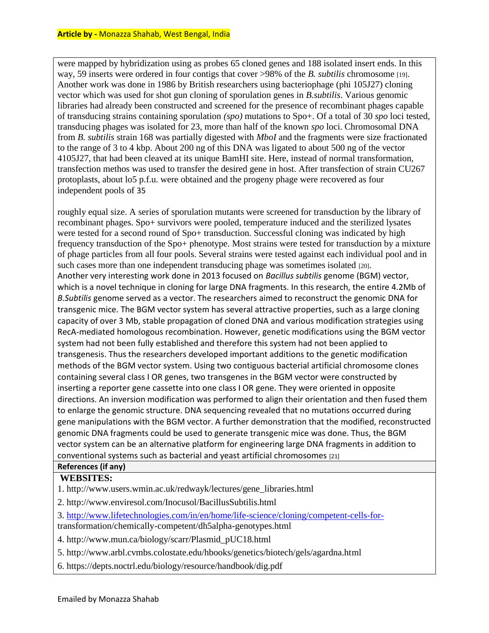were mapped by hybridization using as probes 65 cloned genes and 188 isolated insert ends. In this way, 59 inserts were ordered in four contigs that cover >98% of the *B. subtilis* chromosome [19]. Another work was done in 1986 by British researchers using bacteriophage (phi 105J27) cloning vector which was used for shot gun cloning of sporulation genes in *B.subtilis*. Various genomic libraries had already been constructed and screened for the presence of recombinant phages capable of transducing strains containing sporulation *(spo)* mutations to Spo+. Of a total of 30 *spo* loci tested, transducing phages was isolated for 23, more than half of the known *spo* loci. Chromosomal DNA from *B. subtilis* strain 168 was partially digested with *MboI* and the fragments were size fractionated to the range of 3 to 4 kbp. About 200 ng of this DNA was ligated to about 500 ng of the vector 4105J27, that had been cleaved at its unique BamHI site. Here, instead of normal transformation, transfection methos was used to transfer the desired gene in host. After transfection of strain CU267 protoplasts, about lo5 p.f.u. were obtained and the progeny phage were recovered as four independent pools of 35

roughly equal size. A series of sporulation mutants were screened for transduction by the library of recombinant phages. Spo+ survivors were pooled, temperature induced and the sterilized lysates were tested for a second round of Spo+ transduction. Successful cloning was indicated by high frequency transduction of the Spo+ phenotype. Most strains were tested for transduction by a mixture of phage particles from all four pools. Several strains were tested against each individual pool and in such cases more than one independent transducing phage was sometimes isolated [20]. Another very interesting work done in 2013 focused on *Bacillus subtilis* genome (BGM) vector, which is a novel technique in cloning for large DNA fragments. In this research, the entire 4.2Mb of *B.Subtilis* genome served as a vector. The researchers aimed to reconstruct the genomic DNA for transgenic mice. The BGM vector system has several attractive properties, such as a large cloning capacity of over 3 Mb, stable propagation of cloned DNA and various modification strategies using RecA-mediated homologous recombination. However, genetic modifications using the BGM vector system had not been fully established and therefore this system had not been applied to transgenesis. Thus the researchers developed important additions to the genetic modification methods of the BGM vector system. Using two contiguous bacterial artificial chromosome clones containing several class I OR genes, two transgenes in the BGM vector were constructed by inserting a reporter gene cassette into one class I OR gene. They were oriented in opposite directions. An inversion modification was performed to align their orientation and then fused them to enlarge the genomic structure. DNA sequencing revealed that no mutations occurred during gene manipulations with the BGM vector. A further demonstration that the modified, reconstructed genomic DNA fragments could be used to generate transgenic mice was done. Thus, the BGM vector system can be an alternative platform for engineering large DNA fragments in addition to conventional systems such as bacterial and yeast artificial chromosomes [21]

### **References (if any)**

#### **WEBSITES:**

1. http://www.users.wmin.ac.uk/redwayk/lectures/gene\_libraries.html

2. http://www.enviresol.com/Inocusol/BacillusSubtilis.html

3.<http://www.lifetechnologies.com/in/en/home/life-science/cloning/competent-cells-for->

transformation/chemically-competent/dh5alpha-genotypes.html

4. http://www.mun.ca/biology/scarr/Plasmid\_pUC18.html

5. http://www.arbl.cvmbs.colostate.edu/hbooks/genetics/biotech/gels/agardna.html

6. https://depts.noctrl.edu/biology/resource/handbook/dig.pdf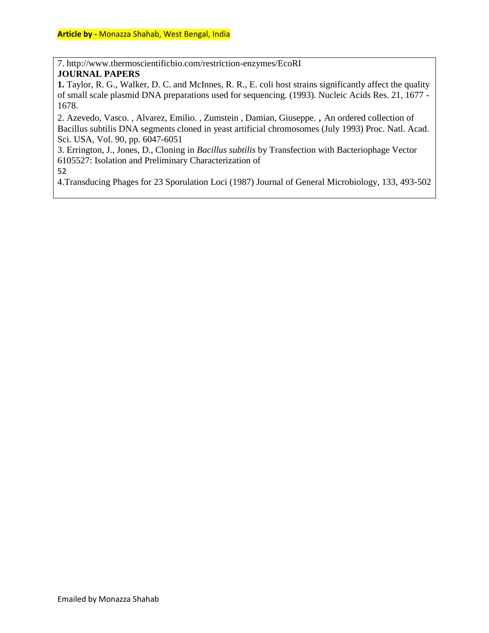7. http://www.thermoscientificbio.com/restriction-enzymes/EcoRI **JOURNAL PAPERS** 

**1.** Taylor, R. G., Walker, D. C. and McInnes, R. R., E. coli host strains significantly affect the quality of small scale plasmid DNA preparations used for sequencing. (1993). Nucleic Acids Res. 21, 1677 - 1678.

2. Azevedo, Vasco. , Alvarez, Emilio. , Zumstein , Damian, Giuseppe. , An ordered collection of Bacillus subtilis DNA segments cloned in yeast artificial chromosomes (July 1993) Proc. Natl. Acad. Sci. USA, Vol. 90, pp. 6047-6051

3. Errington, J., Jones, D., Cloning in *Bacillus subtilis* by Transfection with Bacteriophage Vector 6105527: Isolation and Preliminary Characterization of

52

4.Transducing Phages for 23 Sporulation Loci (1987) Journal of General Microbiology, 133, 493-502